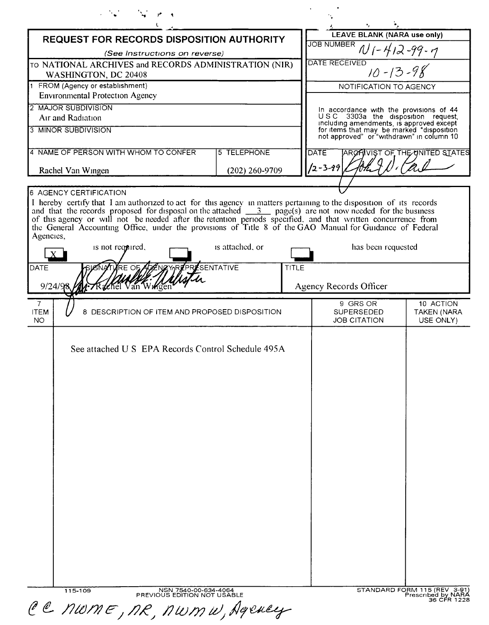| REQUEST FOR RECORDS DISPOSITION AUTHORITY                                                                                                                                                                                                                                                                                                                                                                                                                                                                 |                                        |                                                                                                                                    | <b>LEAVE BLANK (NARA use only)</b>                                |  |
|-----------------------------------------------------------------------------------------------------------------------------------------------------------------------------------------------------------------------------------------------------------------------------------------------------------------------------------------------------------------------------------------------------------------------------------------------------------------------------------------------------------|----------------------------------------|------------------------------------------------------------------------------------------------------------------------------------|-------------------------------------------------------------------|--|
| (See Instructions on reverse)                                                                                                                                                                                                                                                                                                                                                                                                                                                                             |                                        | JOB NUMBER $N$ $( -4/2 - 99 - 7)$                                                                                                  |                                                                   |  |
| TO NATIONAL ARCHIVES and RECORDS ADMINISTRATION (NIR)<br>WASHINGTON, DC 20408                                                                                                                                                                                                                                                                                                                                                                                                                             |                                        | DATE RECEIVED<br>$10 - 13 - 98$                                                                                                    |                                                                   |  |
| 1 FROM (Agency or establishment)                                                                                                                                                                                                                                                                                                                                                                                                                                                                          |                                        | NOTIFICATION TO AGENCY                                                                                                             |                                                                   |  |
| <b>Environmental Protection Agency</b>                                                                                                                                                                                                                                                                                                                                                                                                                                                                    |                                        |                                                                                                                                    |                                                                   |  |
| 2 MAJOR SUBDIVISION<br>Air and Radiation                                                                                                                                                                                                                                                                                                                                                                                                                                                                  |                                        | In accordance with the provisions of 44<br>USC 3303a the disposition request,                                                      |                                                                   |  |
| 3 MINOR SUBDIVISION                                                                                                                                                                                                                                                                                                                                                                                                                                                                                       |                                        | including amendments, is approved except<br>for items that may be marked "disposition<br>not approved" or "withdrawn" in column 10 |                                                                   |  |
| 4 NAME OF PERSON WITH WHOM TO CONFER                                                                                                                                                                                                                                                                                                                                                                                                                                                                      | 5 TELEPHONE                            | <b>DATE</b>                                                                                                                        | <b>ARCHIVIST OF THE UNITED STATES</b>                             |  |
| (202) 260-9709<br>Rachel Van Wingen                                                                                                                                                                                                                                                                                                                                                                                                                                                                       |                                        | $12 - 3 - 99$                                                                                                                      |                                                                   |  |
| 6 AGENCY CERTIFICATION                                                                                                                                                                                                                                                                                                                                                                                                                                                                                    |                                        |                                                                                                                                    |                                                                   |  |
| I hereby certify that I am authorized to act for this agency in matters pertaining to the disposition of its records<br>and that the records proposed for disposal on the attached $\frac{3}{2}$ page(s) are not now needed for the business<br>of this agency or will not be needed after the retention periods specified, and that written concurrence from<br>the General Accounting Office, under the provisions of Title 8 of the GAO Manual for Guidance of Federal<br>Agencies,<br>is attached, or |                                        |                                                                                                                                    |                                                                   |  |
| has been requested<br>is not required.                                                                                                                                                                                                                                                                                                                                                                                                                                                                    |                                        |                                                                                                                                    |                                                                   |  |
| <b>YRE OF ADENZY YREPRESENTATIVE</b><br>DATE<br>9/24/9<br>Rachel Van Wikser                                                                                                                                                                                                                                                                                                                                                                                                                               | <b>TITLE</b><br>Agency Records Officer |                                                                                                                                    |                                                                   |  |
| $\overline{7}$<br><b>ITEM</b><br>8 DESCRIPTION OF ITEM AND PROPOSED DISPOSITION<br><b>NO</b>                                                                                                                                                                                                                                                                                                                                                                                                              |                                        | 9 GRS OR<br><b>SUPERSEDED</b><br><b>JOB CITATION</b>                                                                               | 10 ACTION<br>TAKEN (NARA<br>USE ONLY)                             |  |
| See attached U S EPA Records Control Schedule 495A                                                                                                                                                                                                                                                                                                                                                                                                                                                        |                                        |                                                                                                                                    |                                                                   |  |
| NSN 7540-00-634-4064<br>PREVIOUS EDITION NOT USABLE<br>115-109<br>CC NWME, NR, NWMW, Agency                                                                                                                                                                                                                                                                                                                                                                                                               |                                        |                                                                                                                                    | STANDARD FORM 115 (REV 3-91)<br>Prescribed by NARA<br>36 CFR 1228 |  |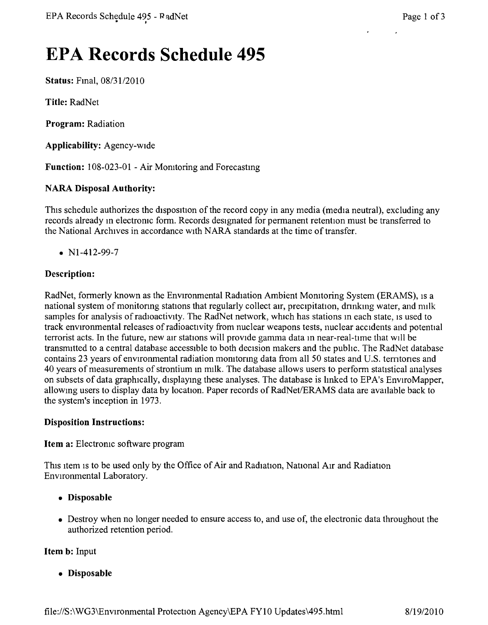# **EPA Records Schedule 495**

Status: Fmal, *08/3112010*

Title: RadNet

Program: Radiation

Applicability: Agency-wide

Function: 108-023-01 - Air Momtoring and Forecastmg

#### NARA Disposal Authority:

This schedule authorizes the disposition of the record copy in any media (media neutral), excluding any records already m electromc form. Records designated for permanent retention must be transferred to the National Archives in accordance WIthNARA standards at the time of transfer.

•  $N1-412-99-7$ 

#### Description:

RadNet, formerly known as the Environmental Radiation Ambient Momtoring System (ERAMS), IS a national system of monitoring stations that regularly collect air, precipitation, drinking water, and milk samples for analysis of radioactivity. The RadNet network, which has stations in each state, is used to track environmental releases of radioactivity from nuclear weapons tests, nuclear accidents and potential terrorist acts. In the future, new air stations will provide gamma data in near-real-time that WIll be transrrutted to a central database accessible to both decision makers and the pubhc. The RadNet database contains 23 years of environmental radiation momtonng data from all 50 states and U.S. temtones and 40 years of measurements of strontium m milk. The database allows users to perform statistical analyses on subsets of data graphically, displaying these analyses. The database is linked to EPA's EnviroMapper, allowmg users to display data by location. Paper records of RadNet/ERAMS data are available back to the system's inception in 1973.

#### Disposition Instructions:

Item a: Electronic software program

This item is to be used only by the Office of Air and Radiation, National Air and Radiation Environmental Laboratory.

- • Disposable
- Destroy when no longer needed to ensure access to, and use of, the electronic data throughout the authorized retention period.

#### Item b: Input

• Disposable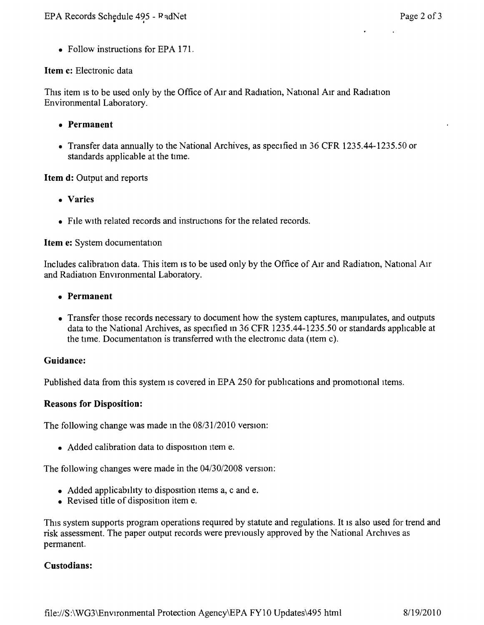• Follow instructions for EPA 171.

#### **Item** c: Electronic data

This item is to be used only by the Office of Air and Radiation, National Air and Radiation Environmental Laboratory.

- **• Permanent**
- Transfer data annually to the National Archives, as specified in 36 CFR 1235.44-1235.50 or standards applicable at the tune,

## **Item d:** Output and reports

- **• Varies**
- File with related records and instructions for the related records.

#### **Item** e: System documentation

Includes calibration data. This item is to be used only by the Office of Air and Radiation, National Air and Radiation Environmental Laboratory.

- **• Permanent**
- Transfer those records necessary to document how the system captures, manipulates, and outputs data to the National Archives, as specified in 36 CFR 1235.44-1235.50 or standards applicable at the time. Documentation is transferred with the electronic data (item c).

#### **Guidance:**

Published data from this system is covered in EPA 250 for publications and promotional items.

#### **Reasons for Disposition:**

The following change was made in the  $08/31/2010$  version:

• Added calibration data to disposition item e.

The following changes were made in the *04/30/2008* version:

- Added applicability to disposition items a, c and e.
- Revised title of disposition item e.

This system supports program operations required by statute and regulations. It is also used for trend and risk assessment. The paper output records were previously approved by the National Archives as permanent.

#### **Custodians:**